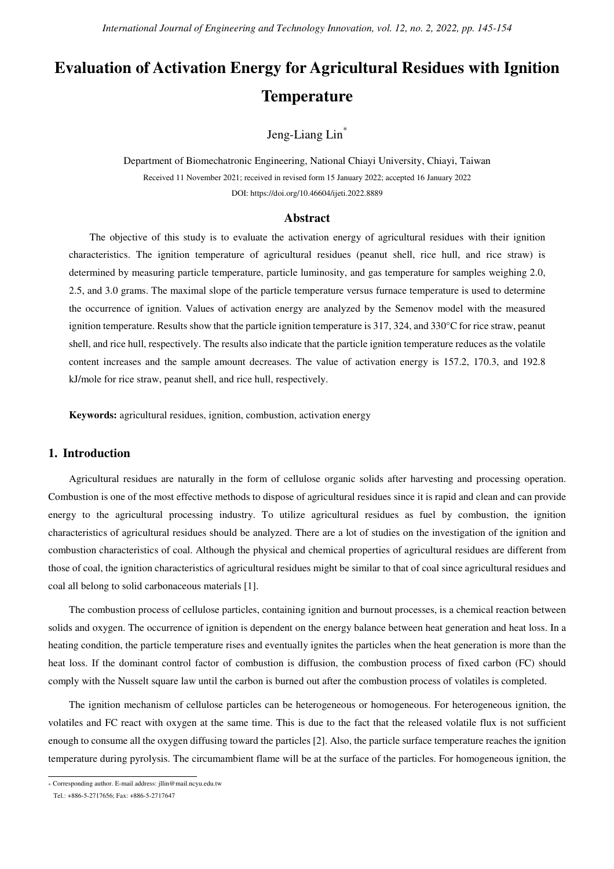# **Evaluation of Activation Energy for Agricultural Residues with Ignition Temperature**

Jeng-Liang Lin\*

Department of Biomechatronic Engineering, National Chiayi University, Chiayi, Taiwan Received 11 November 2021; received in revised form 15 January 2022; accepted 16 January 2022 DOI: https://doi.org/10.46604/ijeti.2022.8889

#### **Abstract**

The objective of this study is to evaluate the activation energy of agricultural residues with their ignition characteristics. The ignition temperature of agricultural residues (peanut shell, rice hull, and rice straw) is determined by measuring particle temperature, particle luminosity, and gas temperature for samples weighing 2.0, 2.5, and 3.0 grams. The maximal slope of the particle temperature versus furnace temperature is used to determine the occurrence of ignition. Values of activation energy are analyzed by the Semenov model with the measured ignition temperature. Results show that the particle ignition temperature is 317, 324, and 330°C for rice straw, peanut shell, and rice hull, respectively. The results also indicate that the particle ignition temperature reduces as the volatile content increases and the sample amount decreases. The value of activation energy is 157.2, 170.3, and 192.8 kJ/mole for rice straw, peanut shell, and rice hull, respectively.

**Keywords:** agricultural residues, ignition, combustion, activation energy

## **1. Introduction**

Agricultural residues are naturally in the form of cellulose organic solids after harvesting and processing operation. Combustion is one of the most effective methods to dispose of agricultural residues since it is rapid and clean and can provide energy to the agricultural processing industry. To utilize agricultural residues as fuel by combustion, the ignition characteristics of agricultural residues should be analyzed. There are a lot of studies on the investigation of the ignition and combustion characteristics of coal. Although the physical and chemical properties of agricultural residues are different from those of coal, the ignition characteristics of agricultural residues might be similar to that of coal since agricultural residues and coal all belong to solid carbonaceous materials [1].

The combustion process of cellulose particles, containing ignition and burnout processes, is a chemical reaction between solids and oxygen. The occurrence of ignition is dependent on the energy balance between heat generation and heat loss. In a heating condition, the particle temperature rises and eventually ignites the particles when the heat generation is more than the heat loss. If the dominant control factor of combustion is diffusion, the combustion process of fixed carbon (FC) should comply with the Nusselt square law until the carbon is burned out after the combustion process of volatiles is completed.

The ignition mechanism of cellulose particles can be heterogeneous or homogeneous. For heterogeneous ignition, the volatiles and FC react with oxygen at the same time. This is due to the fact that the released volatile flux is not sufficient enough to consume all the oxygen diffusing toward the particles [2]. Also, the particle surface temperature reaches the ignition temperature during pyrolysis. The circumambient flame will be at the surface of the particles. For homogeneous ignition, the

 \* Corresponding author. E-mail address: jllin@mail.ncyu.edu.tw

Tel.: +886-5-2717656; Fax: +886-5-2717647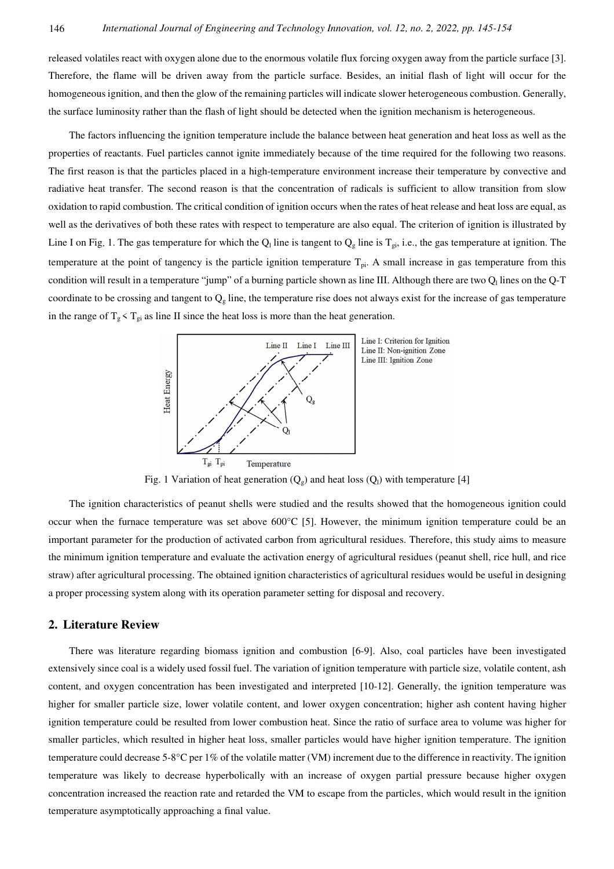released volatiles react with oxygen alone due to the enormous volatile flux forcing oxygen away from the particle surface [3]. Therefore, the flame will be driven away from the particle surface. Besides, an initial flash of light will occur for the homogeneous ignition, and then the glow of the remaining particles will indicate slower heterogeneous combustion. Generally, the surface luminosity rather than the flash of light should be detected when the ignition mechanism is heterogeneous.

The factors influencing the ignition temperature include the balance between heat generation and heat loss as well as the properties of reactants. Fuel particles cannot ignite immediately because of the time required for the following two reasons. The first reason is that the particles placed in a high-temperature environment increase their temperature by convective and radiative heat transfer. The second reason is that the concentration of radicals is sufficient to allow transition from slow oxidation to rapid combustion. The critical condition of ignition occurs when the rates of heat release and heat loss are equal, as well as the derivatives of both these rates with respect to temperature are also equal. The criterion of ignition is illustrated by Line I on Fig. 1. The gas temperature for which the  $Q_1$  line is tangent to  $Q_g$  line is  $T_{gi}$ , i.e., the gas temperature at ignition. The temperature at the point of tangency is the particle ignition temperature  $T_{pi}$ . A small increase in gas temperature from this condition will result in a temperature "jump" of a burning particle shown as line III. Although there are two  $Q_1$  lines on the Q-T coordinate to be crossing and tangent to  $Q<sub>g</sub>$  line, the temperature rise does not always exist for the increase of gas temperature in the range of  $T_g \leq T_{gi}$  as line II since the heat loss is more than the heat generation.



Fig. 1 Variation of heat generation  $(Q_e)$  and heat loss  $(Q_l)$  with temperature [4]

The ignition characteristics of peanut shells were studied and the results showed that the homogeneous ignition could occur when the furnace temperature was set above  $600^{\circ}$ C [5]. However, the minimum ignition temperature could be an important parameter for the production of activated carbon from agricultural residues. Therefore, this study aims to measure the minimum ignition temperature and evaluate the activation energy of agricultural residues (peanut shell, rice hull, and rice straw) after agricultural processing. The obtained ignition characteristics of agricultural residues would be useful in designing a proper processing system along with its operation parameter setting for disposal and recovery.

#### **2. Literature Review**

There was literature regarding biomass ignition and combustion [6-9]. Also, coal particles have been investigated extensively since coal is a widely used fossil fuel. The variation of ignition temperature with particle size, volatile content, ash content, and oxygen concentration has been investigated and interpreted [10-12]. Generally, the ignition temperature was higher for smaller particle size, lower volatile content, and lower oxygen concentration; higher ash content having higher ignition temperature could be resulted from lower combustion heat. Since the ratio of surface area to volume was higher for smaller particles, which resulted in higher heat loss, smaller particles would have higher ignition temperature. The ignition temperature could decrease 5-8°C per 1% of the volatile matter (VM) increment due to the difference in reactivity. The ignition temperature was likely to decrease hyperbolically with an increase of oxygen partial pressure because higher oxygen concentration increased the reaction rate and retarded the VM to escape from the particles, which would result in the ignition temperature asymptotically approaching a final value.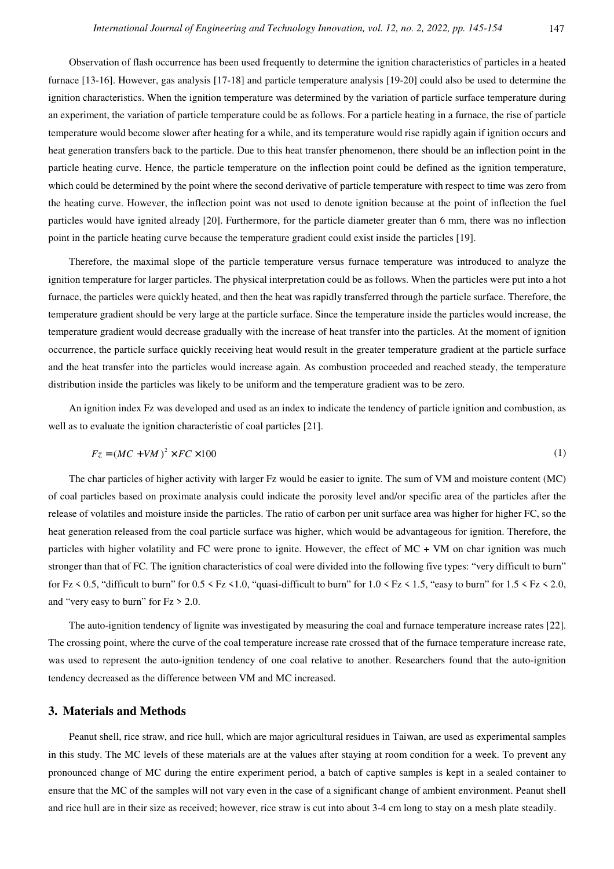Observation of flash occurrence has been used frequently to determine the ignition characteristics of particles in a heated furnace [13-16]. However, gas analysis [17-18] and particle temperature analysis [19-20] could also be used to determine the ignition characteristics. When the ignition temperature was determined by the variation of particle surface temperature during an experiment, the variation of particle temperature could be as follows. For a particle heating in a furnace, the rise of particle temperature would become slower after heating for a while, and its temperature would rise rapidly again if ignition occurs and heat generation transfers back to the particle. Due to this heat transfer phenomenon, there should be an inflection point in the particle heating curve. Hence, the particle temperature on the inflection point could be defined as the ignition temperature, which could be determined by the point where the second derivative of particle temperature with respect to time was zero from the heating curve. However, the inflection point was not used to denote ignition because at the point of inflection the fuel particles would have ignited already [20]. Furthermore, for the particle diameter greater than 6 mm, there was no inflection point in the particle heating curve because the temperature gradient could exist inside the particles [19].

Therefore, the maximal slope of the particle temperature versus furnace temperature was introduced to analyze the ignition temperature for larger particles. The physical interpretation could be as follows. When the particles were put into a hot furnace, the particles were quickly heated, and then the heat was rapidly transferred through the particle surface. Therefore, the temperature gradient should be very large at the particle surface. Since the temperature inside the particles would increase, the temperature gradient would decrease gradually with the increase of heat transfer into the particles. At the moment of ignition occurrence, the particle surface quickly receiving heat would result in the greater temperature gradient at the particle surface and the heat transfer into the particles would increase again. As combustion proceeded and reached steady, the temperature distribution inside the particles was likely to be uniform and the temperature gradient was to be zero.

An ignition index Fz was developed and used as an index to indicate the tendency of particle ignition and combustion, as well as to evaluate the ignition characteristic of coal particles [21].

$$
Fz = (MC + VM)^2 \times FC \times 100\tag{1}
$$

The char particles of higher activity with larger Fz would be easier to ignite. The sum of VM and moisture content (MC) of coal particles based on proximate analysis could indicate the porosity level and/or specific area of the particles after the release of volatiles and moisture inside the particles. The ratio of carbon per unit surface area was higher for higher FC, so the heat generation released from the coal particle surface was higher, which would be advantageous for ignition. Therefore, the particles with higher volatility and FC were prone to ignite. However, the effect of MC + VM on char ignition was much stronger than that of FC. The ignition characteristics of coal were divided into the following five types: "very difficult to burn" for Fz  $\leq$  0.5, "difficult to burn" for 0.5  $\leq$  Fz  $\leq$  1.0, "quasi-difficult to burn" for 1.0  $\leq$  Fz  $\leq$  1.5, "easy to burn" for 1.5  $\leq$  Fz  $\leq$  2.0, and "very easy to burn" for Fz > 2.0.

The auto-ignition tendency of lignite was investigated by measuring the coal and furnace temperature increase rates [22]. The crossing point, where the curve of the coal temperature increase rate crossed that of the furnace temperature increase rate, was used to represent the auto-ignition tendency of one coal relative to another. Researchers found that the auto-ignition tendency decreased as the difference between VM and MC increased.

### **3. Materials and Methods**

Peanut shell, rice straw, and rice hull, which are major agricultural residues in Taiwan, are used as experimental samples in this study. The MC levels of these materials are at the values after staying at room condition for a week. To prevent any pronounced change of MC during the entire experiment period, a batch of captive samples is kept in a sealed container to ensure that the MC of the samples will not vary even in the case of a significant change of ambient environment. Peanut shell and rice hull are in their size as received; however, rice straw is cut into about 3-4 cm long to stay on a mesh plate steadily.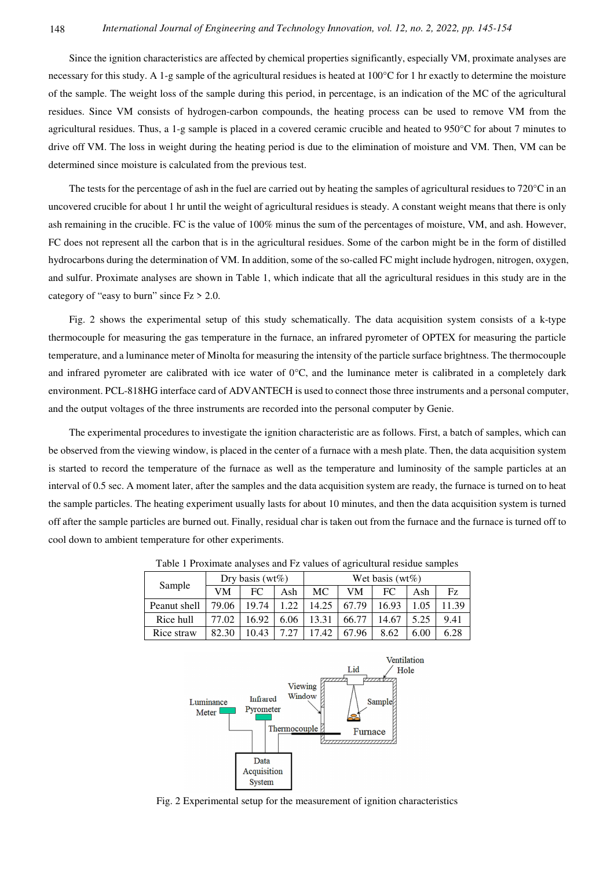Since the ignition characteristics are affected by chemical properties significantly, especially VM, proximate analyses are necessary for this study. A 1-g sample of the agricultural residues is heated at  $100^{\circ}$ C for 1 hr exactly to determine the moisture of the sample. The weight loss of the sample during this period, in percentage, is an indication of the MC of the agricultural residues. Since VM consists of hydrogen-carbon compounds, the heating process can be used to remove VM from the agricultural residues. Thus, a 1-g sample is placed in a covered ceramic crucible and heated to 950°C for about 7 minutes to drive off VM. The loss in weight during the heating period is due to the elimination of moisture and VM. Then, VM can be determined since moisture is calculated from the previous test.

The tests for the percentage of ash in the fuel are carried out by heating the samples of agricultural residues to 720 °C in an uncovered crucible for about 1 hr until the weight of agricultural residues is steady. A constant weight means that there is only ash remaining in the crucible. FC is the value of 100% minus the sum of the percentages of moisture, VM, and ash. However, FC does not represent all the carbon that is in the agricultural residues. Some of the carbon might be in the form of distilled hydrocarbons during the determination of VM. In addition, some of the so-called FC might include hydrogen, nitrogen, oxygen, and sulfur. Proximate analyses are shown in Table 1, which indicate that all the agricultural residues in this study are in the category of "easy to burn" since  $Fz > 2.0$ .

Fig. 2 shows the experimental setup of this study schematically. The data acquisition system consists of a k-type thermocouple for measuring the gas temperature in the furnace, an infrared pyrometer of OPTEX for measuring the particle temperature, and a luminance meter of Minolta for measuring the intensity of the particle surface brightness. The thermocouple and infrared pyrometer are calibrated with ice water of  $0^{\circ}$ C, and the luminance meter is calibrated in a completely dark environment. PCL-818HG interface card of ADVANTECH is used to connect those three instruments and a personal computer, and the output voltages of the three instruments are recorded into the personal computer by Genie.

The experimental procedures to investigate the ignition characteristic are as follows. First, a batch of samples, which can be observed from the viewing window, is placed in the center of a furnace with a mesh plate. Then, the data acquisition system is started to record the temperature of the furnace as well as the temperature and luminosity of the sample particles at an interval of 0.5 sec. A moment later, after the samples and the data acquisition system are ready, the furnace is turned on to heat the sample particles. The heating experiment usually lasts for about 10 minutes, and then the data acquisition system is turned off after the sample particles are burned out. Finally, residual char is taken out from the furnace and the furnace is turned off to cool down to ambient temperature for other experiments.

| Sample       | Dry basis ( $wt\%$ ) |       |      | Wet basis ( $wt\%$ ) |       |       |      |       |  |
|--------------|----------------------|-------|------|----------------------|-------|-------|------|-------|--|
|              | VM                   | FC    | Ash  | МC                   | VM    | FC    | Ash  | Fz.   |  |
| Peanut shell | 79.06                | 19.74 | 1.22 | 14.25                | 67.79 | 16.93 | .05  | 11.39 |  |
| Rice hull    | 77.02                | 16.92 | 6.06 | 13.31                | 66.77 | 14.67 | 5.25 | 9.41  |  |
| Rice straw   | 82.30                | 10.43 | 7.27 | 17.42                | 67.96 | 8.62  | 6.00 | 6.28  |  |

Table 1 Proximate analyses and Fz values of agricultural residue samples



Fig. 2 Experimental setup for the measurement of ignition characteristics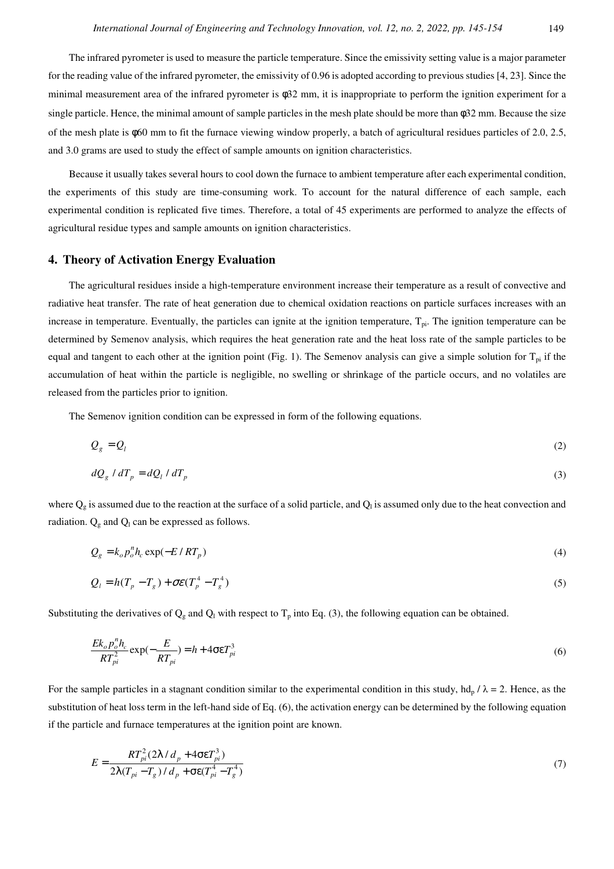The infrared pyrometer is used to measure the particle temperature. Since the emissivity setting value is a major parameter for the reading value of the infrared pyrometer, the emissivity of 0.96 is adopted according to previous studies [4, 23]. Since the minimal measurement area of the infrared pyrometer is φ32 mm, it is inappropriate to perform the ignition experiment for a single particle. Hence, the minimal amount of sample particles in the mesh plate should be more than φ32 mm. Because the size of the mesh plate is φ60 mm to fit the furnace viewing window properly, a batch of agricultural residues particles of 2.0, 2.5, and 3.0 grams are used to study the effect of sample amounts on ignition characteristics.

Because it usually takes several hours to cool down the furnace to ambient temperature after each experimental condition, the experiments of this study are time-consuming work. To account for the natural difference of each sample, each experimental condition is replicated five times. Therefore, a total of 45 experiments are performed to analyze the effects of agricultural residue types and sample amounts on ignition characteristics.

#### **4. Theory of Activation Energy Evaluation**

The agricultural residues inside a high-temperature environment increase their temperature as a result of convective and radiative heat transfer. The rate of heat generation due to chemical oxidation reactions on particle surfaces increases with an increase in temperature. Eventually, the particles can ignite at the ignition temperature,  $T_{pi}$ . The ignition temperature can be determined by Semenov analysis, which requires the heat generation rate and the heat loss rate of the sample particles to be equal and tangent to each other at the ignition point (Fig. 1). The Semenov analysis can give a simple solution for  $T_{pi}$  if the accumulation of heat within the particle is negligible, no swelling or shrinkage of the particle occurs, and no volatiles are released from the particles prior to ignition.

The Semenov ignition condition can be expressed in form of the following equations.

$$
Q_g = Q_l \tag{2}
$$

$$
dQ_g / dT_p = dQ_l / dT_p \tag{3}
$$

where  $Q_g$  is assumed due to the reaction at the surface of a solid particle, and  $Q_l$  is assumed only due to the heat convection and radiation.  $Q<sub>g</sub>$  and  $Q<sub>l</sub>$  can be expressed as follows.

$$
Q_g = k_o p_o^n h_c \exp(-E/RT_p)
$$
\n<sup>(4)</sup>

$$
Q_l = h(T_p - T_g) + \sigma \varepsilon (T_p^4 - T_g^4)
$$
\n<sup>(5)</sup>

Substituting the derivatives of  $Q_g$  and  $Q_l$  with respect to  $T_p$  into Eq. (3), the following equation can be obtained.

$$
\frac{Ek_o p_o^n h_c}{RT_{pi}^2} \exp(-\frac{E}{RT_{pi}}) = h + 4\sigma \varepsilon T_{pi}^3 \tag{6}
$$

For the sample particles in a stagnant condition similar to the experimental condition in this study,  $hd_p / \lambda = 2$ . Hence, as the substitution of heat loss term in the left-hand side of Eq. (6), the activation energy can be determined by the following equation if the particle and furnace temperatures at the ignition point are known.

$$
E = \frac{RT_{pi}^{2}(2\lambda/d_{p} + 4\sigma\epsilon T_{pi}^{3})}{2\lambda(T_{pi} - T_{g})/d_{p} + \sigma\epsilon(T_{pi}^{4} - T_{g}^{4})}
$$
(7)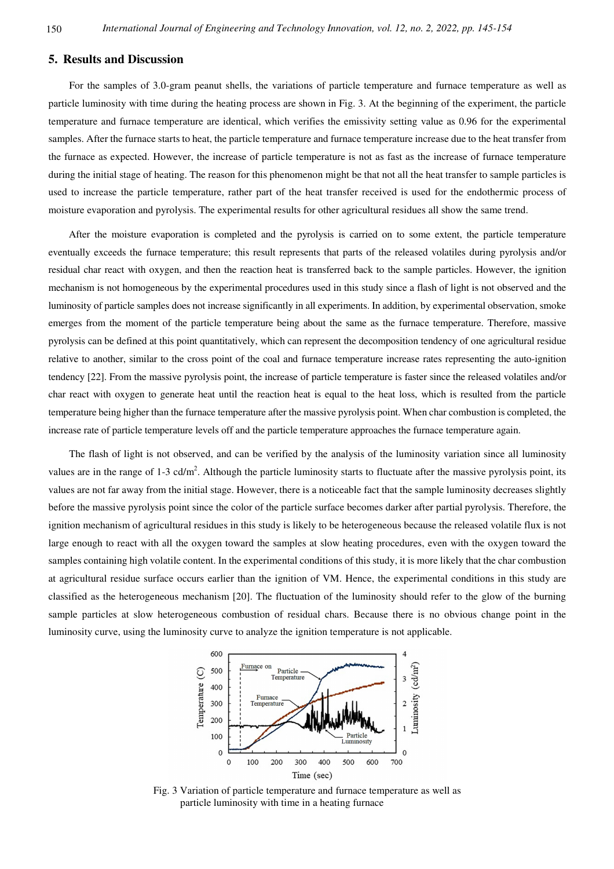### **5. Results and Discussion**

For the samples of 3.0-gram peanut shells, the variations of particle temperature and furnace temperature as well as particle luminosity with time during the heating process are shown in Fig. 3. At the beginning of the experiment, the particle temperature and furnace temperature are identical, which verifies the emissivity setting value as 0.96 for the experimental samples. After the furnace starts to heat, the particle temperature and furnace temperature increase due to the heat transfer from the furnace as expected. However, the increase of particle temperature is not as fast as the increase of furnace temperature during the initial stage of heating. The reason for this phenomenon might be that not all the heat transfer to sample particles is used to increase the particle temperature, rather part of the heat transfer received is used for the endothermic process of moisture evaporation and pyrolysis. The experimental results for other agricultural residues all show the same trend.

After the moisture evaporation is completed and the pyrolysis is carried on to some extent, the particle temperature eventually exceeds the furnace temperature; this result represents that parts of the released volatiles during pyrolysis and/or residual char react with oxygen, and then the reaction heat is transferred back to the sample particles. However, the ignition mechanism is not homogeneous by the experimental procedures used in this study since a flash of light is not observed and the luminosity of particle samples does not increase significantly in all experiments. In addition, by experimental observation, smoke emerges from the moment of the particle temperature being about the same as the furnace temperature. Therefore, massive pyrolysis can be defined at this point quantitatively, which can represent the decomposition tendency of one agricultural residue relative to another, similar to the cross point of the coal and furnace temperature increase rates representing the auto-ignition tendency [22]. From the massive pyrolysis point, the increase of particle temperature is faster since the released volatiles and/or char react with oxygen to generate heat until the reaction heat is equal to the heat loss, which is resulted from the particle temperature being higher than the furnace temperature after the massive pyrolysis point. When char combustion is completed, the increase rate of particle temperature levels off and the particle temperature approaches the furnace temperature again.

The flash of light is not observed, and can be verified by the analysis of the luminosity variation since all luminosity values are in the range of 1-3 cd/m<sup>2</sup>. Although the particle luminosity starts to fluctuate after the massive pyrolysis point, its values are not far away from the initial stage. However, there is a noticeable fact that the sample luminosity decreases slightly before the massive pyrolysis point since the color of the particle surface becomes darker after partial pyrolysis. Therefore, the ignition mechanism of agricultural residues in this study is likely to be heterogeneous because the released volatile flux is not large enough to react with all the oxygen toward the samples at slow heating procedures, even with the oxygen toward the samples containing high volatile content. In the experimental conditions of this study, it is more likely that the char combustion at agricultural residue surface occurs earlier than the ignition of VM. Hence, the experimental conditions in this study are classified as the heterogeneous mechanism [20]. The fluctuation of the luminosity should refer to the glow of the burning sample particles at slow heterogeneous combustion of residual chars. Because there is no obvious change point in the luminosity curve, using the luminosity curve to analyze the ignition temperature is not applicable.



Fig. 3 Variation of particle temperature and furnace temperature as well as particle luminosity with time in a heating furnace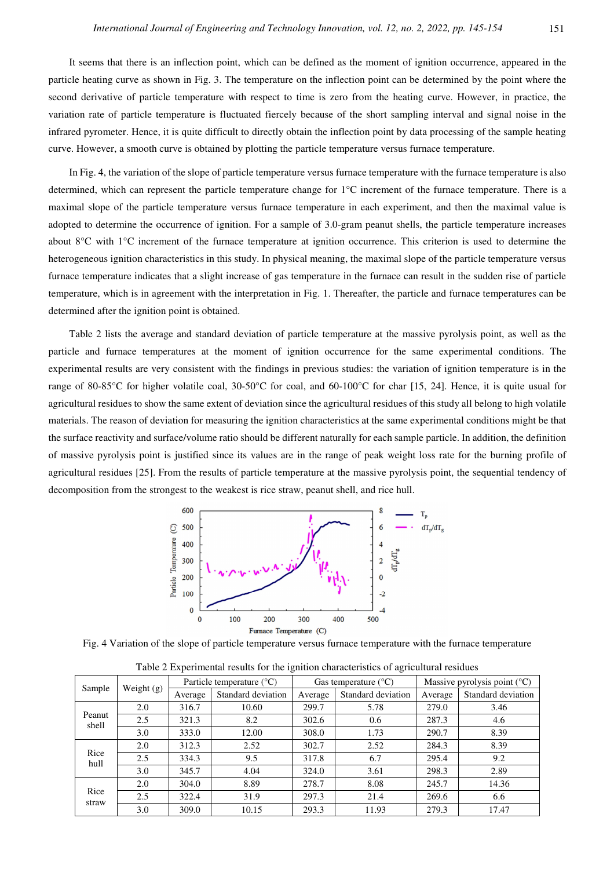It seems that there is an inflection point, which can be defined as the moment of ignition occurrence, appeared in the particle heating curve as shown in Fig. 3. The temperature on the inflection point can be determined by the point where the second derivative of particle temperature with respect to time is zero from the heating curve. However, in practice, the variation rate of particle temperature is fluctuated fiercely because of the short sampling interval and signal noise in the infrared pyrometer. Hence, it is quite difficult to directly obtain the inflection point by data processing of the sample heating curve. However, a smooth curve is obtained by plotting the particle temperature versus furnace temperature.

In Fig. 4, the variation of the slope of particle temperature versus furnace temperature with the furnace temperature is also determined, which can represent the particle temperature change for 1°C increment of the furnace temperature. There is a maximal slope of the particle temperature versus furnace temperature in each experiment, and then the maximal value is adopted to determine the occurrence of ignition. For a sample of 3.0-gram peanut shells, the particle temperature increases about 8°C with 1°C increment of the furnace temperature at ignition occurrence. This criterion is used to determine the heterogeneous ignition characteristics in this study. In physical meaning, the maximal slope of the particle temperature versus furnace temperature indicates that a slight increase of gas temperature in the furnace can result in the sudden rise of particle temperature, which is in agreement with the interpretation in Fig. 1. Thereafter, the particle and furnace temperatures can be determined after the ignition point is obtained.

Table 2 lists the average and standard deviation of particle temperature at the massive pyrolysis point, as well as the particle and furnace temperatures at the moment of ignition occurrence for the same experimental conditions. The experimental results are very consistent with the findings in previous studies: the variation of ignition temperature is in the range of 80-85°C for higher volatile coal,  $30-50$ °C for coal, and  $60-100$ °C for char [15, 24]. Hence, it is quite usual for agricultural residues to show the same extent of deviation since the agricultural residues of this study all belong to high volatile materials. The reason of deviation for measuring the ignition characteristics at the same experimental conditions might be that the surface reactivity and surface/volume ratio should be different naturally for each sample particle. In addition, the definition of massive pyrolysis point is justified since its values are in the range of peak weight loss rate for the burning profile of agricultural residues [25]. From the results of particle temperature at the massive pyrolysis point, the sequential tendency of decomposition from the strongest to the weakest is rice straw, peanut shell, and rice hull.



Fig. 4 Variation of the slope of particle temperature versus furnace temperature with the furnace temperature

|                 |            | л.                                   |                    | ັ       | ັ                             |                                         |                    |  |
|-----------------|------------|--------------------------------------|--------------------|---------|-------------------------------|-----------------------------------------|--------------------|--|
| Sample          | Weight (g) | Particle temperature $({}^{\circ}C)$ |                    |         | Gas temperature $(^{\circ}C)$ | Massive pyrolysis point $({}^{\circ}C)$ |                    |  |
|                 |            | Average                              | Standard deviation | Average | Standard deviation            | Average                                 | Standard deviation |  |
| Peanut<br>shell | 2.0        | 316.7                                | 10.60              | 299.7   | 5.78                          | 279.0                                   | 3.46               |  |
|                 | 2.5        | 321.3                                | 8.2                | 302.6   | 0.6                           | 287.3                                   | 4.6                |  |
|                 | 3.0        | 333.0                                | 12.00              | 308.0   | 1.73                          | 290.7                                   | 8.39               |  |
| Rice<br>hull    | 2.0        | 312.3                                | 2.52               | 302.7   | 2.52                          | 284.3                                   | 8.39               |  |
|                 | 2.5        | 334.3                                | 9.5                | 317.8   | 6.7                           | 295.4                                   | 9.2                |  |
|                 | 3.0        | 345.7                                | 4.04               | 324.0   | 3.61                          | 298.3                                   | 2.89               |  |
| Rice<br>straw   | 2.0        | 304.0                                | 8.89               | 278.7   | 8.08                          | 245.7                                   | 14.36              |  |
|                 | 2.5        | 322.4                                | 31.9               | 297.3   | 21.4                          | 269.6                                   | 6.6                |  |
|                 | 3.0        | 309.0                                | 10.15              | 293.3   | 11.93                         | 279.3                                   | 17.47              |  |

Table 2 Experimental results for the ignition characteristics of agricultural residues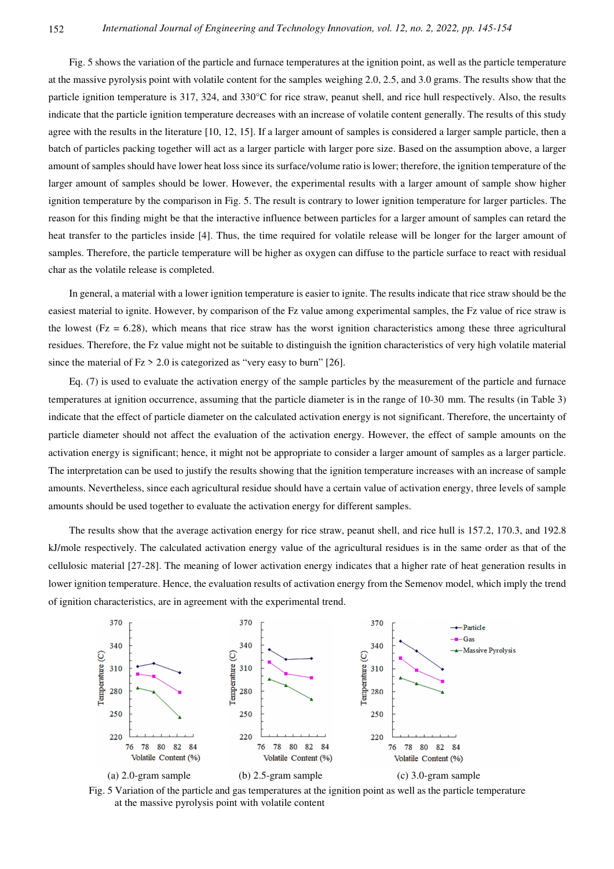Fig. 5 shows the variation of the particle and furnace temperatures at the ignition point, as well as the particle temperature at the massive pyrolysis point with volatile content for the samples weighing 2.0, 2.5, and 3.0 grams. The results show that the particle ignition temperature is 317, 324, and 330°C for rice straw, peanut shell, and rice hull respectively. Also, the results indicate that the particle ignition temperature decreases with an increase of volatile content generally. The results of this study agree with the results in the literature [10, 12, 15]. If a larger amount of samples is considered a larger sample particle, then a batch of particles packing together will act as a larger particle with larger pore size. Based on the assumption above, a larger amount of samples should have lower heat loss since its surface/volume ratio is lower; therefore, the ignition temperature of the larger amount of samples should be lower. However, the experimental results with a larger amount of sample show higher ignition temperature by the comparison in Fig. 5. The result is contrary to lower ignition temperature for larger particles. The reason for this finding might be that the interactive influence between particles for a larger amount of samples can retard the heat transfer to the particles inside [4]. Thus, the time required for volatile release will be longer for the larger amount of samples. Therefore, the particle temperature will be higher as oxygen can diffuse to the particle surface to react with residual char as the volatile release is completed.

In general, a material with a lower ignition temperature is easier to ignite. The results indicate that rice straw should be the easiest material to ignite. However, by comparison of the Fz value among experimental samples, the Fz value of rice straw is the lowest ( $Fz = 6.28$ ), which means that rice straw has the worst ignition characteristics among these three agricultural residues. Therefore, the Fz value might not be suitable to distinguish the ignition characteristics of very high volatile material since the material of  $Fz > 2.0$  is categorized as "very easy to burn" [26].

Eq. (7) is used to evaluate the activation energy of the sample particles by the measurement of the particle and furnace temperatures at ignition occurrence, assuming that the particle diameter is in the range of 10-30 mm. The results (in Table 3) indicate that the effect of particle diameter on the calculated activation energy is not significant. Therefore, the uncertainty of particle diameter should not affect the evaluation of the activation energy. However, the effect of sample amounts on the activation energy is significant; hence, it might not be appropriate to consider a larger amount of samples as a larger particle. The interpretation can be used to justify the results showing that the ignition temperature increases with an increase of sample amounts. Nevertheless, since each agricultural residue should have a certain value of activation energy, three levels of sample amounts should be used together to evaluate the activation energy for different samples.

The results show that the average activation energy for rice straw, peanut shell, and rice hull is 157.2, 170.3, and 192.8 kJ/mole respectively. The calculated activation energy value of the agricultural residues is in the same order as that of the cellulosic material [27-28]. The meaning of lower activation energy indicates that a higher rate of heat generation results in lower ignition temperature. Hence, the evaluation results of activation energy from the Semenov model, which imply the trend of ignition characteristics, are in agreement with the experimental trend.



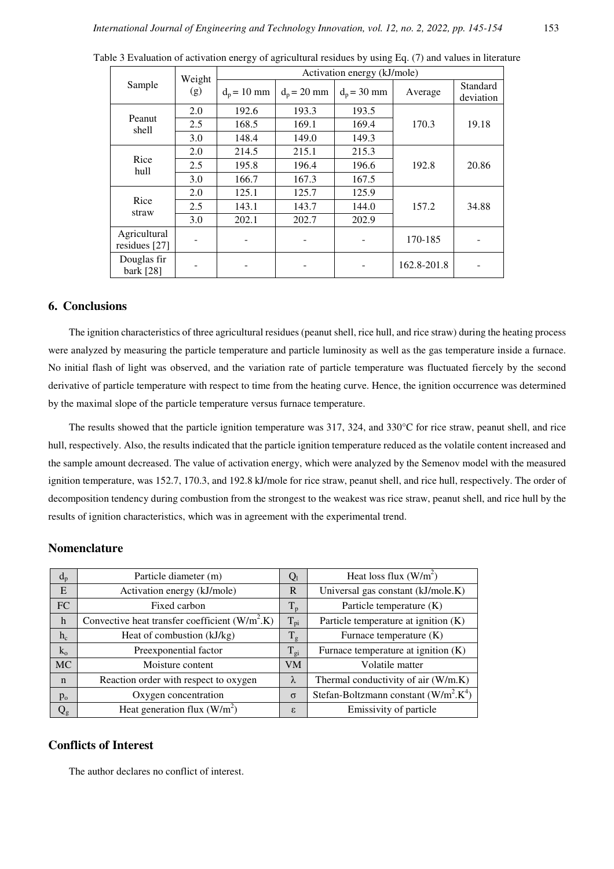| Sample                        | Weight<br>(g) | Activation energy (kJ/mole) |               |               |             |                       |  |  |
|-------------------------------|---------------|-----------------------------|---------------|---------------|-------------|-----------------------|--|--|
|                               |               | $d_p = 10$ mm               | $d_p = 20$ mm | $d_p = 30$ mm | Average     | Standard<br>deviation |  |  |
| Peanut<br>shell               | 2.0           | 192.6                       | 193.3         | 193.5         |             | 19.18                 |  |  |
|                               | 2.5           | 168.5                       | 169.1         | 169.4         | 170.3       |                       |  |  |
|                               | 3.0           | 148.4                       | 149.0         | 149.3         |             |                       |  |  |
| Rice<br>hull                  | 2.0           | 214.5                       | 215.1         | 215.3         |             | 20.86                 |  |  |
|                               | 2.5           | 195.8                       | 196.4         | 196.6         | 192.8       |                       |  |  |
|                               | 3.0           | 166.7                       | 167.3         | 167.5         |             |                       |  |  |
| Rice<br>straw                 | 2.0           | 125.1                       | 125.7         | 125.9         |             | 34.88                 |  |  |
|                               | 2.5           | 143.1                       | 143.7         | 144.0         | 157.2       |                       |  |  |
|                               | 3.0           | 202.1                       | 202.7         | 202.9         |             |                       |  |  |
| Agricultural<br>residues [27] |               |                             |               |               | 170-185     |                       |  |  |
| Douglas fir<br>bark [28]      |               |                             |               |               | 162.8-201.8 |                       |  |  |

Table 3 Evaluation of activation energy of agricultural residues by using Eq. (7) and values in literature

## **6. Conclusions**

The ignition characteristics of three agricultural residues (peanut shell, rice hull, and rice straw) during the heating process were analyzed by measuring the particle temperature and particle luminosity as well as the gas temperature inside a furnace. No initial flash of light was observed, and the variation rate of particle temperature was fluctuated fiercely by the second derivative of particle temperature with respect to time from the heating curve. Hence, the ignition occurrence was determined by the maximal slope of the particle temperature versus furnace temperature.

The results showed that the particle ignition temperature was 317, 324, and 330°C for rice straw, peanut shell, and rice hull, respectively. Also, the results indicated that the particle ignition temperature reduced as the volatile content increased and the sample amount decreased. The value of activation energy, which were analyzed by the Semenov model with the measured ignition temperature, was 152.7, 170.3, and 192.8 kJ/mole for rice straw, peanut shell, and rice hull, respectively. The order of decomposition tendency during combustion from the strongest to the weakest was rice straw, peanut shell, and rice hull by the results of ignition characteristics, which was in agreement with the experimental trend.

## **Nomenclature**

| $d_{p}$      | Particle diameter (m)                              |           | Heat loss flux $(W/m^2)$                |  |  |
|--------------|----------------------------------------------------|-----------|-----------------------------------------|--|--|
| E            | Activation energy (kJ/mole)                        |           | Universal gas constant (kJ/mole.K)      |  |  |
| FC           | Fixed carbon                                       |           | Particle temperature (K)                |  |  |
| $\mathbf{h}$ | Convective heat transfer coefficient $(W/m2)$ . K) |           | Particle temperature at ignition $(K)$  |  |  |
| $h_c$        | Heat of combustion (kJ/kg)                         |           | Furnace temperature $(K)$               |  |  |
| $k_{o}$      | Preexponential factor                              |           | Furnace temperature at ignition (K)     |  |  |
| <b>MC</b>    | Moisture content                                   | <b>VM</b> | Volatile matter                         |  |  |
| $\mathbf n$  | Reaction order with respect to oxygen              |           | Thermal conductivity of air (W/m.K)     |  |  |
| $p_{o}$      | Oxygen concentration                               |           | Stefan-Boltzmann constant $(W/m^2.K^4)$ |  |  |
| $\rm Q_g$    | Heat generation flux $(W/m^2)$                     |           | Emissivity of particle                  |  |  |

# **Conflicts of Interest**

The author declares no conflict of interest.